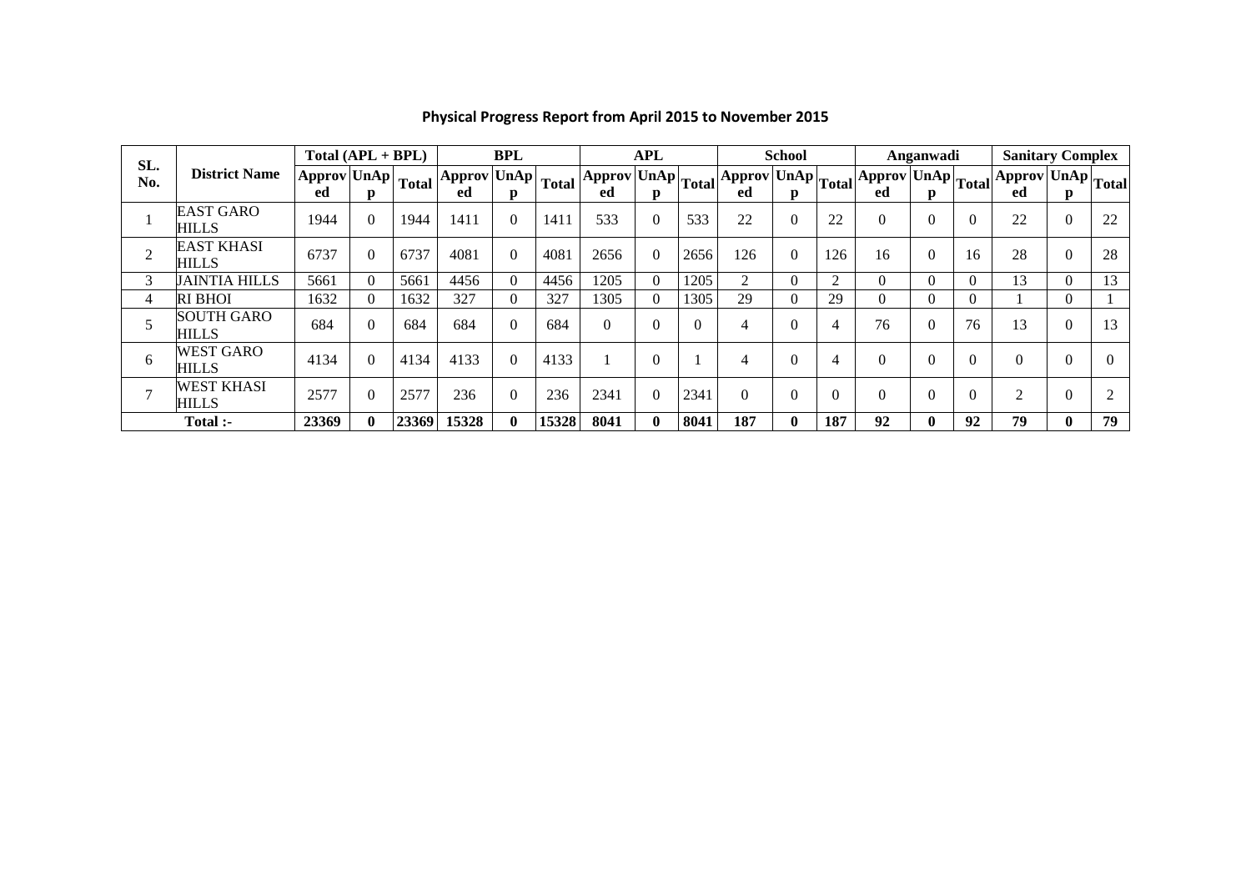| SL.            |                                   |                                                         | $Total (API + BPL)$ |       | BPL                                                     |                |       | APL  |              |      |                                                                                                                                                                                               | <b>School</b> |     |          | Anganwadi |    | <b>Sanitary Complex</b>                                          |                  |          |  |
|----------------|-----------------------------------|---------------------------------------------------------|---------------------|-------|---------------------------------------------------------|----------------|-------|------|--------------|------|-----------------------------------------------------------------------------------------------------------------------------------------------------------------------------------------------|---------------|-----|----------|-----------|----|------------------------------------------------------------------|------------------|----------|--|
| No.            | <b>District Name</b>              | $\sqrt{\text{Approx}}$ UnAp $\sqrt{\text{Total}}$<br>ed | p                   |       | $ \overline{\text{Approx}}$ UnAp $ \text{Total} $<br>ed | D.             |       | ed   | D.           |      | $\left \mathrm{Approx} \mathrm{UnAp} \right _{\mathrm{Total}}\right \mathrm{Approx} \mathrm{UnAp} \right _{\mathrm{Total}}\left \mathrm{Approx} \mathrm{UnAp} \right _{\mathrm{Total}}$<br>ed | D.            |     | ed       | p         |    | $\sqrt{\text{Approx}\left \text{UnAp}\right }\text{Total}$<br>ed | p                |          |  |
|                | <b>EAST GARO</b><br><b>HILLS</b>  | 1944                                                    | $\Omega$            | 1944  | 1411                                                    | $\theta$       | 1411  | 533  |              | 533  | 22                                                                                                                                                                                            |               | 22  | $\theta$ | 0         |    | 22                                                               | $\mathbf{0}$     | 22       |  |
| $\overline{2}$ | <b>EAST KHASI</b><br>HILLS        | 6737                                                    | $\theta$            | 6737  | 4081                                                    | $\overline{0}$ | 4081  | 2656 | $\theta$     | 2656 | 126                                                                                                                                                                                           | $\Omega$      | 126 | 16       | $\theta$  | 16 | 28                                                               | $\boldsymbol{0}$ | 28       |  |
| 3              | <b>JAINTIA HILLS</b>              | 5661                                                    | $\Omega$            | 5661  | 4456                                                    | $\Omega$       | 4456  | 1205 | $\Omega$     | 1205 | 2                                                                                                                                                                                             |               | ◠   | $\theta$ | $\theta$  |    | 13                                                               | $\mathbf{0}$     | 13       |  |
| 4              | <b>RI BHOI</b>                    | 1632                                                    | $\Omega$            | 1632  | 327                                                     |                | 327   | 1305 | $\Omega$     | 1305 | 29                                                                                                                                                                                            | 0             | 29  | $\theta$ | $\theta$  |    |                                                                  | $\Omega$         |          |  |
|                | <b>SOUTH GARO</b><br>HILLS        | 684                                                     | $\theta$            | 684   | 684                                                     | $\Omega$       | 684   | 0    | 0            |      | 4                                                                                                                                                                                             |               |     | 76       | $\theta$  | 76 | 13                                                               | $\theta$         | 13       |  |
| 6              | <b>WEST GARO</b><br><b>HILLS</b>  | 4134                                                    | $\theta$            | 4134  | 4133                                                    | $\Omega$       | 4133  |      | $\Omega$     |      | 4                                                                                                                                                                                             | $\Omega$      | 4   | $\theta$ | $\theta$  |    | $\theta$                                                         | $\theta$         | $\Omega$ |  |
| $\overline{ }$ | <b>WEST KHASI</b><br><b>HILLS</b> | 2577                                                    | $\theta$            | 2577  | 236                                                     | $\Omega$       | 236   | 2341 | $\theta$     | 2341 | $\boldsymbol{0}$                                                                                                                                                                              |               |     | $\theta$ | 0         |    | $\bigcirc$                                                       | $\theta$         | ◠        |  |
| Total :-       |                                   | 23369                                                   | $\mathbf 0$         | 23369 | 15328                                                   | 0              | 15328 | 8041 | $\mathbf{0}$ | 8041 | 187                                                                                                                                                                                           | 0             | 187 | 92       | 0         | 92 | 79                                                               | $\mathbf{0}$     | 79       |  |

## **Physical Progress Report from April 2015 to November 2015**